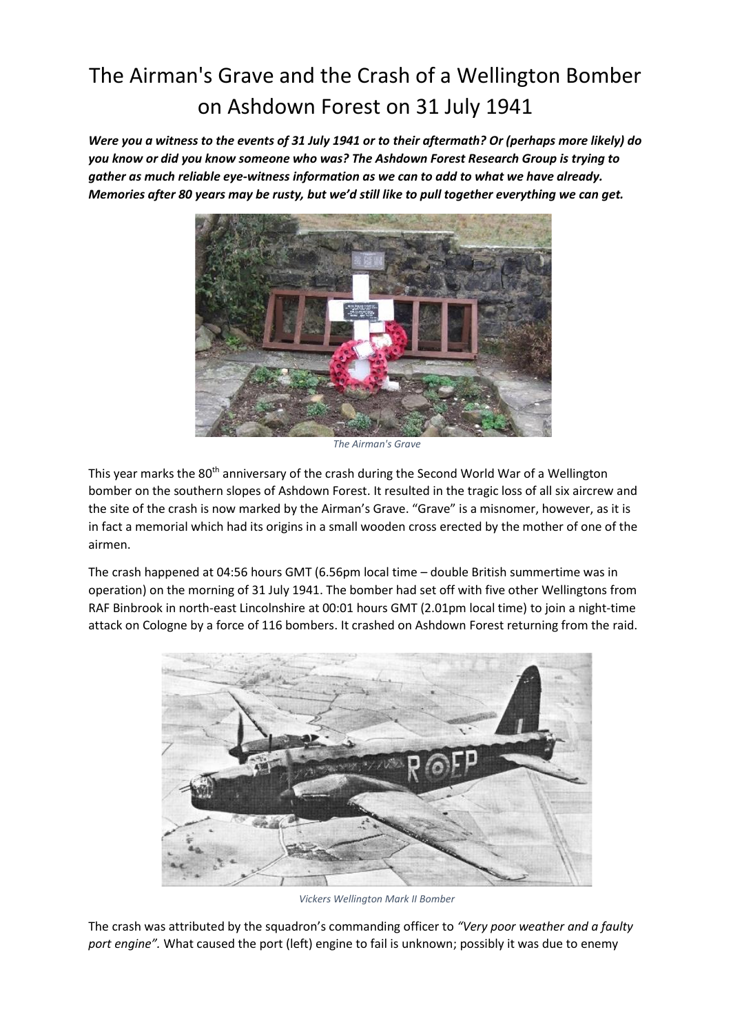## The Airman's Grave and the Crash of a Wellington Bomber on Ashdown Forest on 31 July 1941

*Were you a witness to the events of 31 July 1941 or to their aftermath? Or (perhaps more likely) do you know or did you know someone who was? The Ashdown Forest Research Group is trying to gather as much reliable eye-witness information as we can to add to what we have already. Memories after 80 years may be rusty, but we'd still like to pull together everything we can get.*



*The Airman's Grave*

This year marks the 80<sup>th</sup> anniversary of the crash during the Second World War of a Wellington bomber on the southern slopes of Ashdown Forest. It resulted in the tragic loss of all six aircrew and the site of the crash is now marked by the Airman's Grave. "Grave" is a misnomer, however, as it is in fact a memorial which had its origins in a small wooden cross erected by the mother of one of the airmen.

The crash happened at 04:56 hours GMT (6.56pm local time – double British summertime was in operation) on the morning of 31 July 1941. The bomber had set off with five other Wellingtons from RAF Binbrook in north-east Lincolnshire at 00:01 hours GMT (2.01pm local time) to join a night-time attack on Cologne by a force of 116 bombers. It crashed on Ashdown Forest returning from the raid.



*Vickers Wellington Mark II Bomber*

The crash was attributed by the squadron's commanding officer to *"Very poor weather and a faulty port engine".* What caused the port (left) engine to fail is unknown; possibly it was due to enemy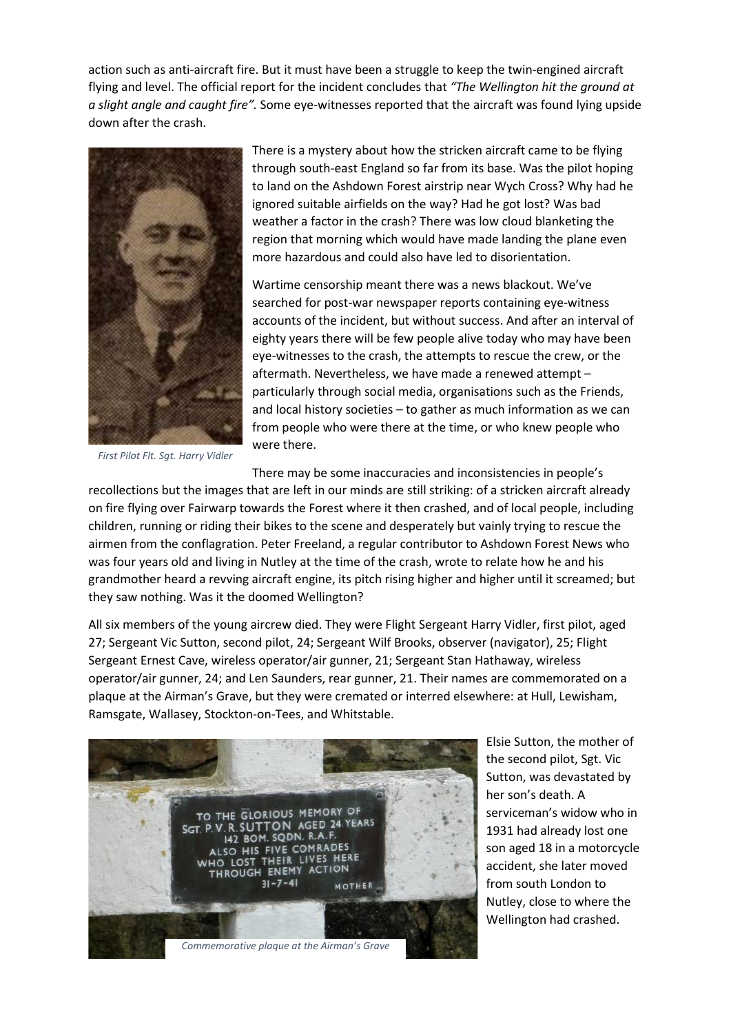action such as anti-aircraft fire. But it must have been a struggle to keep the twin-engined aircraft flying and level. The official report for the incident concludes that *"The Wellington hit the ground at a slight angle and caught fire".* Some eye-witnesses reported that the aircraft was found lying upside down after the crash.



There is a mystery about how the stricken aircraft came to be flying through south-east England so far from its base. Was the pilot hoping to land on the Ashdown Forest airstrip near Wych Cross? Why had he ignored suitable airfields on the way? Had he got lost? Was bad weather a factor in the crash? There was low cloud blanketing the region that morning which would have made landing the plane even more hazardous and could also have led to disorientation.

Wartime censorship meant there was a news blackout. We've searched for post-war newspaper reports containing eye-witness accounts of the incident, but without success. And after an interval of eighty years there will be few people alive today who may have been eye-witnesses to the crash, the attempts to rescue the crew, or the aftermath. Nevertheless, we have made a renewed attempt – particularly through social media, organisations such as the Friends, and local history societies – to gather as much information as we can from people who were there at the time, or who knew people who were there.

*First Pilot Flt. Sgt. Harry Vidler*

There may be some inaccuracies and inconsistencies in people's

recollections but the images that are left in our minds are still striking: of a stricken aircraft already on fire flying over Fairwarp towards the Forest where it then crashed, and of local people, including children, running or riding their bikes to the scene and desperately but vainly trying to rescue the airmen from the conflagration. Peter Freeland, a regular contributor to Ashdown Forest News who was four years old and living in Nutley at the time of the crash, wrote to relate how he and his grandmother heard a revving aircraft engine, its pitch rising higher and higher until it screamed; but they saw nothing. Was it the doomed Wellington?

All six members of the young aircrew died. They were Flight Sergeant Harry Vidler, first pilot, aged 27; Sergeant Vic Sutton, second pilot, 24; Sergeant Wilf Brooks, observer (navigator), 25; Flight Sergeant Ernest Cave, wireless operator/air gunner, 21; Sergeant Stan Hathaway, wireless operator/air gunner, 24; and Len Saunders, rear gunner, 21. Their names are commemorated on a plaque at the Airman's Grave, but they were cremated or interred elsewhere: at Hull, Lewisham, Ramsgate, Wallasey, Stockton-on-Tees, and Whitstable.



Elsie Sutton, the mother of the second pilot, Sgt. Vic Sutton, was devastated by her son's death. A serviceman's widow who in 1931 had already lost one son aged 18 in a motorcycle accident, she later moved from south London to Nutley, close to where the Wellington had crashed.